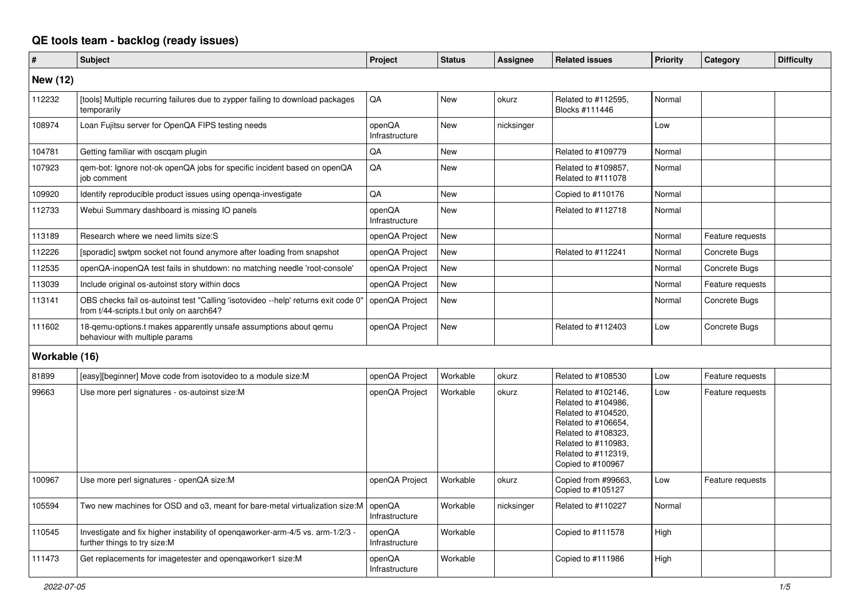## **QE tools team - backlog (ready issues)**

| #               | <b>Subject</b>                                                                                                                 | Project                  | <b>Status</b> | Assignee   | <b>Related issues</b>                                                                                                                                                              | Priority | Category         | <b>Difficulty</b> |
|-----------------|--------------------------------------------------------------------------------------------------------------------------------|--------------------------|---------------|------------|------------------------------------------------------------------------------------------------------------------------------------------------------------------------------------|----------|------------------|-------------------|
| <b>New (12)</b> |                                                                                                                                |                          |               |            |                                                                                                                                                                                    |          |                  |                   |
| 112232          | [tools] Multiple recurring failures due to zypper failing to download packages<br>temporarily                                  | QA                       | New           | okurz      | Related to #112595,<br>Blocks #111446                                                                                                                                              | Normal   |                  |                   |
| 108974          | Loan Fujitsu server for OpenQA FIPS testing needs                                                                              | openQA<br>Infrastructure | <b>New</b>    | nicksinger |                                                                                                                                                                                    | Low      |                  |                   |
| 104781          | Getting familiar with oscgam plugin                                                                                            | QA                       | <b>New</b>    |            | Related to #109779                                                                                                                                                                 | Normal   |                  |                   |
| 107923          | qem-bot: Ignore not-ok openQA jobs for specific incident based on openQA<br>job comment                                        | QA                       | New           |            | Related to #109857.<br>Related to #111078                                                                                                                                          | Normal   |                  |                   |
| 109920          | Identify reproducible product issues using openga-investigate                                                                  | QA                       | <b>New</b>    |            | Copied to #110176                                                                                                                                                                  | Normal   |                  |                   |
| 112733          | Webui Summary dashboard is missing IO panels                                                                                   | openQA<br>Infrastructure | New           |            | Related to #112718                                                                                                                                                                 | Normal   |                  |                   |
| 113189          | Research where we need limits size: S                                                                                          | openQA Project           | <b>New</b>    |            |                                                                                                                                                                                    | Normal   | Feature requests |                   |
| 112226          | [sporadic] swtpm socket not found anymore after loading from snapshot                                                          | openQA Project           | New           |            | Related to #112241                                                                                                                                                                 | Normal   | Concrete Bugs    |                   |
| 112535          | openQA-inopenQA test fails in shutdown: no matching needle 'root-console'                                                      | openQA Project           | <b>New</b>    |            |                                                                                                                                                                                    | Normal   | Concrete Bugs    |                   |
| 113039          | Include original os-autoinst story within docs                                                                                 | openQA Project           | New           |            |                                                                                                                                                                                    | Normal   | Feature requests |                   |
| 113141          | OBS checks fail os-autoinst test "Calling 'isotovideo --help' returns exit code 0"<br>from t/44-scripts.t but only on aarch64? | openQA Project           | <b>New</b>    |            |                                                                                                                                                                                    | Normal   | Concrete Bugs    |                   |
| 111602          | 18-gemu-options.t makes apparently unsafe assumptions about gemu<br>behaviour with multiple params                             | openQA Project           | New           |            | Related to #112403                                                                                                                                                                 | Low      | Concrete Bugs    |                   |
| Workable (16)   |                                                                                                                                |                          |               |            |                                                                                                                                                                                    |          |                  |                   |
| 81899           | [easy][beginner] Move code from isotovideo to a module size: M                                                                 | openQA Project           | Workable      | okurz      | Related to #108530                                                                                                                                                                 | Low      | Feature requests |                   |
| 99663           | Use more perl signatures - os-autoinst size:M                                                                                  | openQA Project           | Workable      | okurz      | Related to #102146.<br>Related to #104986.<br>Related to #104520,<br>Related to #106654,<br>Related to #108323,<br>Related to #110983,<br>Related to #112319,<br>Copied to #100967 | Low      | Feature requests |                   |
| 100967          | Use more perl signatures - openQA size:M                                                                                       | openQA Project           | Workable      | okurz      | Copied from #99663,<br>Copied to #105127                                                                                                                                           | Low      | Feature requests |                   |
| 105594          | Two new machines for OSD and o3, meant for bare-metal virtualization size:M                                                    | openQA<br>Infrastructure | Workable      | nicksinger | Related to #110227                                                                                                                                                                 | Normal   |                  |                   |
| 110545          | Investigate and fix higher instability of opengaworker-arm-4/5 vs. arm-1/2/3 -<br>further things to try size:M                 | openQA<br>Infrastructure | Workable      |            | Copied to #111578                                                                                                                                                                  | High     |                  |                   |
| 111473          | Get replacements for imagetester and opengaworker1 size:M                                                                      | openQA<br>Infrastructure | Workable      |            | Copied to #111986                                                                                                                                                                  | High     |                  |                   |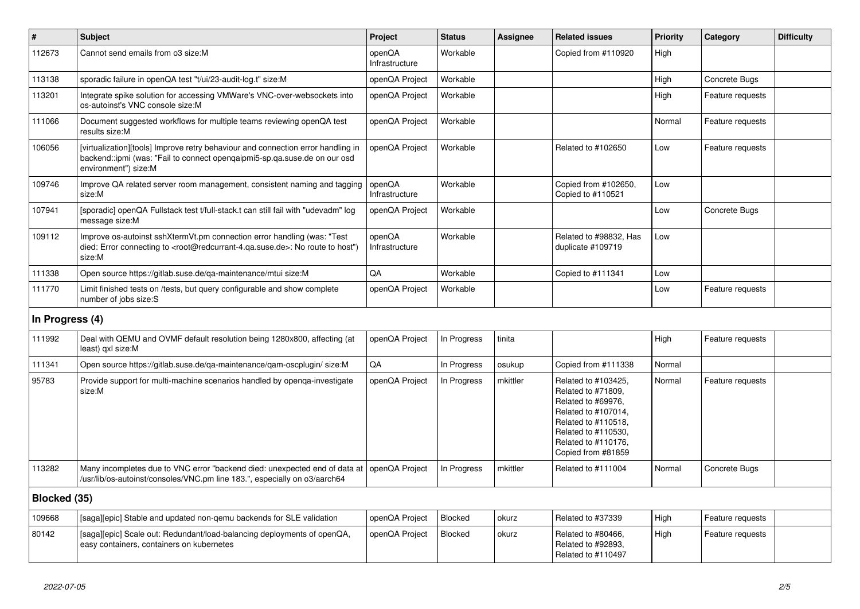| $\pmb{\#}$      | <b>Subject</b>                                                                                                                                                                                    | Project                  | <b>Status</b> | <b>Assignee</b> | <b>Related issues</b>                                                                                                                                                             | <b>Priority</b> | Category         | <b>Difficulty</b> |
|-----------------|---------------------------------------------------------------------------------------------------------------------------------------------------------------------------------------------------|--------------------------|---------------|-----------------|-----------------------------------------------------------------------------------------------------------------------------------------------------------------------------------|-----------------|------------------|-------------------|
| 112673          | Cannot send emails from o3 size:M                                                                                                                                                                 | openQA<br>Infrastructure | Workable      |                 | Copied from #110920                                                                                                                                                               | High            |                  |                   |
| 113138          | sporadic failure in openQA test "t/ui/23-audit-log.t" size:M                                                                                                                                      | openQA Project           | Workable      |                 |                                                                                                                                                                                   | High            | Concrete Bugs    |                   |
| 113201          | Integrate spike solution for accessing VMWare's VNC-over-websockets into<br>os-autoinst's VNC console size:M                                                                                      | openQA Project           | Workable      |                 |                                                                                                                                                                                   | High            | Feature requests |                   |
| 111066          | Document suggested workflows for multiple teams reviewing openQA test<br>results size:M                                                                                                           | openQA Project           | Workable      |                 |                                                                                                                                                                                   | Normal          | Feature requests |                   |
| 106056          | [virtualization][tools] Improve retry behaviour and connection error handling in<br>backend::ipmi (was: "Fail to connect opengaipmi5-sp.qa.suse.de on our osd<br>environment") size:M             | openQA Project           | Workable      |                 | Related to #102650                                                                                                                                                                | Low             | Feature requests |                   |
| 109746          | Improve QA related server room management, consistent naming and tagging<br>size:M                                                                                                                | openQA<br>Infrastructure | Workable      |                 | Copied from #102650,<br>Copied to #110521                                                                                                                                         | Low             |                  |                   |
| 107941          | [sporadic] openQA Fullstack test t/full-stack.t can still fail with "udevadm" log<br>message size:M                                                                                               | openQA Project           | Workable      |                 |                                                                                                                                                                                   | Low             | Concrete Bugs    |                   |
| 109112          | Improve os-autoinst sshXtermVt.pm connection error handling (was: "Test<br>died: Error connecting to <root@redcurrant-4.qa.suse.de>: No route to host")<br/>size:M</root@redcurrant-4.qa.suse.de> | openQA<br>Infrastructure | Workable      |                 | Related to #98832, Has<br>duplicate #109719                                                                                                                                       | Low             |                  |                   |
| 111338          | Open source https://gitlab.suse.de/ga-maintenance/mtui size:M                                                                                                                                     | QA                       | Workable      |                 | Copied to #111341                                                                                                                                                                 | Low             |                  |                   |
| 111770          | Limit finished tests on /tests, but query configurable and show complete<br>number of jobs size:S                                                                                                 | openQA Project           | Workable      |                 |                                                                                                                                                                                   | Low             | Feature requests |                   |
| In Progress (4) |                                                                                                                                                                                                   |                          |               |                 |                                                                                                                                                                                   |                 |                  |                   |
| 111992          | Deal with QEMU and OVMF default resolution being 1280x800, affecting (at<br>least) gxl size:M                                                                                                     | openQA Project           | In Progress   | tinita          |                                                                                                                                                                                   | High            | Feature requests |                   |
| 111341          | Open source https://gitlab.suse.de/ga-maintenance/gam-oscplugin/ size:M                                                                                                                           | QA                       | In Progress   | osukup          | Copied from #111338                                                                                                                                                               | Normal          |                  |                   |
| 95783           | Provide support for multi-machine scenarios handled by openga-investigate<br>size:M                                                                                                               | openQA Project           | In Progress   | mkittler        | Related to #103425,<br>Related to #71809,<br>Related to #69976,<br>Related to #107014,<br>Related to #110518,<br>Related to #110530,<br>Related to #110176,<br>Copied from #81859 | Normal          | Feature requests |                   |
| 113282          | Many incompletes due to VNC error "backend died: unexpected end of data at   openQA Project<br>/usr/lib/os-autoinst/consoles/VNC.pm line 183.", especially on o3/aarch64                          |                          | In Progress   | mkittler        | Related to #111004                                                                                                                                                                | Normal          | Concrete Bugs    |                   |
| Blocked (35)    |                                                                                                                                                                                                   |                          |               |                 |                                                                                                                                                                                   |                 |                  |                   |
| 109668          | [saga][epic] Stable and updated non-gemu backends for SLE validation                                                                                                                              | openQA Project           | Blocked       | okurz           | Related to #37339                                                                                                                                                                 | High            | Feature requests |                   |
| 80142           | [saga][epic] Scale out: Redundant/load-balancing deployments of openQA,<br>easy containers, containers on kubernetes                                                                              | openQA Project           | Blocked       | okurz           | Related to #80466,<br>Related to #92893,<br>Related to #110497                                                                                                                    | High            | Feature requests |                   |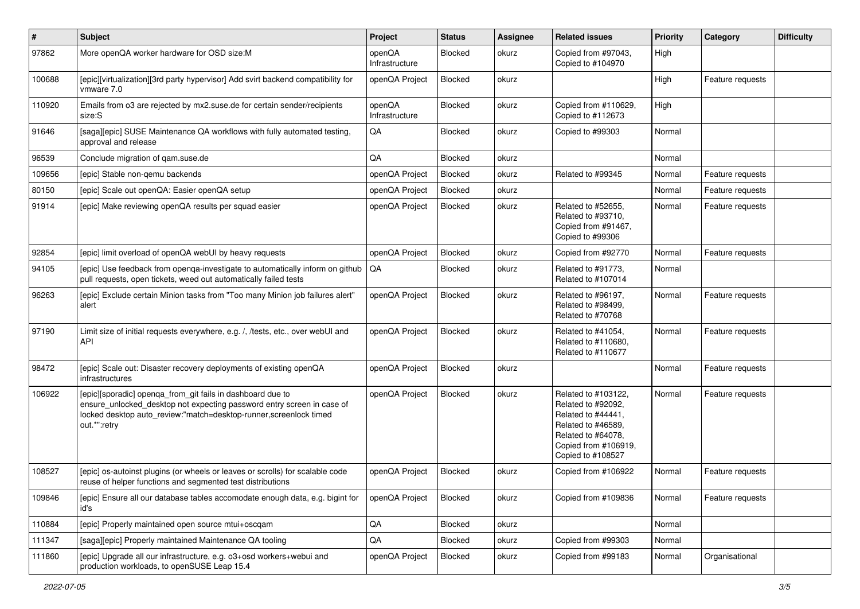| $\sharp$ | <b>Subject</b>                                                                                                                                                                                                            | Project                  | <b>Status</b> | Assignee | <b>Related issues</b>                                                                                                                                    | <b>Priority</b> | Category         | <b>Difficulty</b> |
|----------|---------------------------------------------------------------------------------------------------------------------------------------------------------------------------------------------------------------------------|--------------------------|---------------|----------|----------------------------------------------------------------------------------------------------------------------------------------------------------|-----------------|------------------|-------------------|
| 97862    | More openQA worker hardware for OSD size:M                                                                                                                                                                                | openQA<br>Infrastructure | Blocked       | okurz    | Copied from #97043,<br>Copied to #104970                                                                                                                 | High            |                  |                   |
| 100688   | [epic][virtualization][3rd party hypervisor] Add svirt backend compatibility for<br>vmware 7.0                                                                                                                            | openQA Project           | Blocked       | okurz    |                                                                                                                                                          | High            | Feature requests |                   |
| 110920   | Emails from o3 are rejected by mx2.suse.de for certain sender/recipients<br>size:S                                                                                                                                        | openQA<br>Infrastructure | Blocked       | okurz    | Copied from #110629,<br>Copied to #112673                                                                                                                | High            |                  |                   |
| 91646    | [saga][epic] SUSE Maintenance QA workflows with fully automated testing,<br>approval and release                                                                                                                          | QA                       | Blocked       | okurz    | Copied to #99303                                                                                                                                         | Normal          |                  |                   |
| 96539    | Conclude migration of gam.suse.de                                                                                                                                                                                         | QA                       | Blocked       | okurz    |                                                                                                                                                          | Normal          |                  |                   |
| 109656   | [epic] Stable non-gemu backends                                                                                                                                                                                           | openQA Project           | Blocked       | okurz    | Related to #99345                                                                                                                                        | Normal          | Feature requests |                   |
| 80150    | [epic] Scale out openQA: Easier openQA setup                                                                                                                                                                              | openQA Project           | Blocked       | okurz    |                                                                                                                                                          | Normal          | Feature requests |                   |
| 91914    | [epic] Make reviewing openQA results per squad easier                                                                                                                                                                     | openQA Project           | Blocked       | okurz    | Related to #52655,<br>Related to #93710,<br>Copied from #91467,<br>Copied to #99306                                                                      | Normal          | Feature requests |                   |
| 92854    | [epic] limit overload of openQA webUI by heavy requests                                                                                                                                                                   | openQA Project           | Blocked       | okurz    | Copied from #92770                                                                                                                                       | Normal          | Feature requests |                   |
| 94105    | [epic] Use feedback from openga-investigate to automatically inform on github<br>pull requests, open tickets, weed out automatically failed tests                                                                         | <b>QA</b>                | Blocked       | okurz    | Related to #91773,<br>Related to #107014                                                                                                                 | Normal          |                  |                   |
| 96263    | [epic] Exclude certain Minion tasks from "Too many Minion job failures alert"<br>alert                                                                                                                                    | openQA Project           | Blocked       | okurz    | Related to #96197.<br>Related to #98499,<br>Related to #70768                                                                                            | Normal          | Feature requests |                   |
| 97190    | Limit size of initial requests everywhere, e.g. /, /tests, etc., over webUI and<br><b>API</b>                                                                                                                             | openQA Project           | Blocked       | okurz    | Related to #41054,<br>Related to #110680,<br>Related to #110677                                                                                          | Normal          | Feature requests |                   |
| 98472    | [epic] Scale out: Disaster recovery deployments of existing openQA<br>infrastructures                                                                                                                                     | openQA Project           | Blocked       | okurz    |                                                                                                                                                          | Normal          | Feature requests |                   |
| 106922   | [epic][sporadic] openqa_from_git fails in dashboard due to<br>ensure_unlocked_desktop not expecting password entry screen in case of<br>locked desktop auto_review:"match=desktop-runner,screenlock timed<br>out.*":retry | openQA Project           | Blocked       | okurz    | Related to #103122,<br>Related to #92092,<br>Related to #44441,<br>Related to #46589,<br>Related to #64078,<br>Copied from #106919,<br>Copied to #108527 | Normal          | Feature requests |                   |
| 108527   | [epic] os-autoinst plugins (or wheels or leaves or scrolls) for scalable code<br>reuse of helper functions and segmented test distributions                                                                               | openQA Project           | Blocked       | okurz    | Copied from #106922                                                                                                                                      | Normal          | Feature requests |                   |
| 109846   | [epic] Ensure all our database tables accomodate enough data, e.g. bigint for<br>id's                                                                                                                                     | openQA Project           | Blocked       | okurz    | Copied from #109836                                                                                                                                      | Normal          | Feature requests |                   |
| 110884   | [epic] Properly maintained open source mtui+oscgam                                                                                                                                                                        | QA                       | Blocked       | okurz    |                                                                                                                                                          | Normal          |                  |                   |
| 111347   | [saga][epic] Properly maintained Maintenance QA tooling                                                                                                                                                                   | QA                       | Blocked       | okurz    | Copied from #99303                                                                                                                                       | Normal          |                  |                   |
| 111860   | [epic] Upgrade all our infrastructure, e.g. o3+osd workers+webui and<br>production workloads, to openSUSE Leap 15.4                                                                                                       | openQA Project           | Blocked       | okurz    | Copied from #99183                                                                                                                                       | Normal          | Organisational   |                   |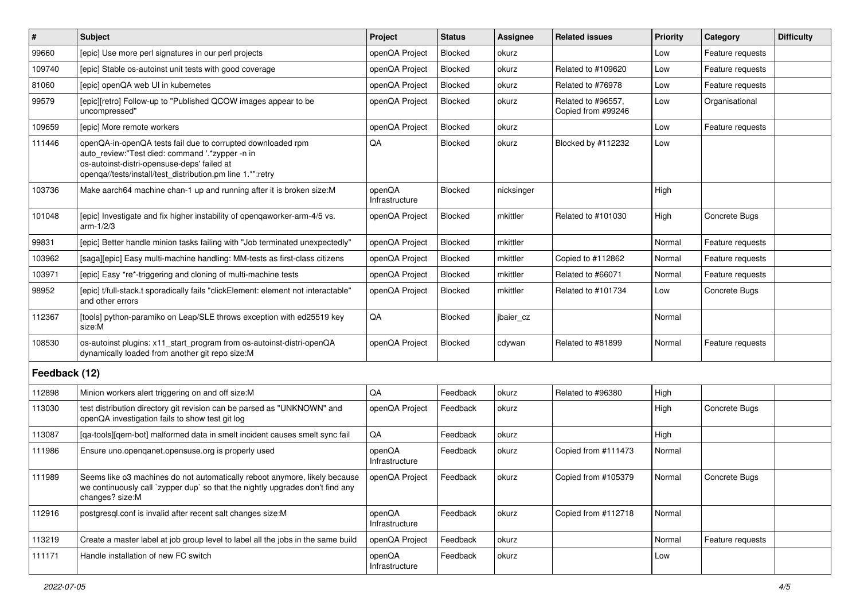| #             | Subject                                                                                                                                                                                                                     | Project                  | <b>Status</b>  | Assignee   | <b>Related issues</b>                    | Priority | Category         | <b>Difficulty</b> |
|---------------|-----------------------------------------------------------------------------------------------------------------------------------------------------------------------------------------------------------------------------|--------------------------|----------------|------------|------------------------------------------|----------|------------------|-------------------|
| 99660         | [epic] Use more perl signatures in our perl projects                                                                                                                                                                        | openQA Project           | Blocked        | okurz      |                                          | Low      | Feature requests |                   |
| 109740        | [epic] Stable os-autoinst unit tests with good coverage                                                                                                                                                                     | openQA Project           | Blocked        | okurz      | Related to #109620                       | Low      | Feature requests |                   |
| 81060         | [epic] openQA web UI in kubernetes                                                                                                                                                                                          | openQA Project           | Blocked        | okurz      | Related to #76978                        | Low      | Feature requests |                   |
| 99579         | [epic][retro] Follow-up to "Published QCOW images appear to be<br>uncompressed"                                                                                                                                             | openQA Project           | Blocked        | okurz      | Related to #96557,<br>Copied from #99246 | Low      | Organisational   |                   |
| 109659        | [epic] More remote workers                                                                                                                                                                                                  | openQA Project           | Blocked        | okurz      |                                          | Low      | Feature requests |                   |
| 111446        | openQA-in-openQA tests fail due to corrupted downloaded rpm<br>auto review:"Test died: command '.*zypper -n in<br>os-autoinst-distri-opensuse-deps' failed at<br>openqa//tests/install/test_distribution.pm line 1.*":retry | QA                       | Blocked        | okurz      | Blocked by #112232                       | Low      |                  |                   |
| 103736        | Make aarch64 machine chan-1 up and running after it is broken size:M                                                                                                                                                        | openQA<br>Infrastructure | <b>Blocked</b> | nicksinger |                                          | High     |                  |                   |
| 101048        | [epic] Investigate and fix higher instability of openqaworker-arm-4/5 vs.<br>$arm-1/2/3$                                                                                                                                    | openQA Project           | Blocked        | mkittler   | Related to #101030                       | High     | Concrete Bugs    |                   |
| 99831         | [epic] Better handle minion tasks failing with "Job terminated unexpectedly"                                                                                                                                                | openQA Project           | Blocked        | mkittler   |                                          | Normal   | Feature requests |                   |
| 103962        | [saga][epic] Easy multi-machine handling: MM-tests as first-class citizens                                                                                                                                                  | openQA Project           | Blocked        | mkittler   | Copied to #112862                        | Normal   | Feature requests |                   |
| 103971        | [epic] Easy *re*-triggering and cloning of multi-machine tests                                                                                                                                                              | openQA Project           | Blocked        | mkittler   | Related to #66071                        | Normal   | Feature requests |                   |
| 98952         | [epic] t/full-stack.t sporadically fails "clickElement: element not interactable"<br>and other errors                                                                                                                       | openQA Project           | Blocked        | mkittler   | Related to #101734                       | Low      | Concrete Bugs    |                   |
| 112367        | [tools] python-paramiko on Leap/SLE throws exception with ed25519 key<br>size:M                                                                                                                                             | QA                       | Blocked        | jbaier_cz  |                                          | Normal   |                  |                   |
| 108530        | os-autoinst plugins: x11_start_program from os-autoinst-distri-openQA<br>dynamically loaded from another git repo size:M                                                                                                    | openQA Project           | Blocked        | cdywan     | Related to #81899                        | Normal   | Feature requests |                   |
| Feedback (12) |                                                                                                                                                                                                                             |                          |                |            |                                          |          |                  |                   |
| 112898        | Minion workers alert triggering on and off size:M                                                                                                                                                                           | QA                       | Feedback       | okurz      | Related to #96380                        | High     |                  |                   |
| 113030        | test distribution directory git revision can be parsed as "UNKNOWN" and<br>openQA investigation fails to show test git log                                                                                                  | openQA Project           | Feedback       | okurz      |                                          | High     | Concrete Bugs    |                   |
| 113087        | [qa-tools][qem-bot] malformed data in smelt incident causes smelt sync fail                                                                                                                                                 | QA                       | Feedback       | okurz      |                                          | High     |                  |                   |
| 111986        | Ensure uno openganet opensuse org is properly used                                                                                                                                                                          | openQA<br>Infrastructure | Feedback       | okurz      | Copied from #111473                      | Normal   |                  |                   |
| 111989        | Seems like o3 machines do not automatically reboot anymore, likely because<br>we continuously call `zypper dup` so that the nightly upgrades don't find any<br>changes? size:M                                              | openQA Project           | Feedback       | okurz      | Copied from #105379                      | Normal   | Concrete Bugs    |                   |
| 112916        | postgresql.conf is invalid after recent salt changes size:M                                                                                                                                                                 | openQA<br>Infrastructure | Feedback       | okurz      | Copied from #112718                      | Normal   |                  |                   |
| 113219        | Create a master label at job group level to label all the jobs in the same build                                                                                                                                            | openQA Project           | Feedback       | okurz      |                                          | Normal   | Feature requests |                   |
| 111171        | Handle installation of new FC switch                                                                                                                                                                                        | openQA<br>Infrastructure | Feedback       | okurz      |                                          | Low      |                  |                   |